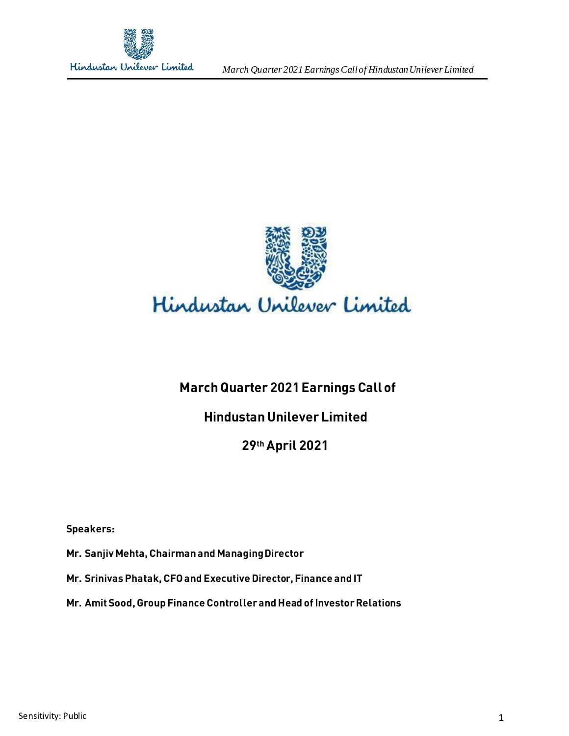

*March Quarter 2021 Earnings Call of HindustanUnilever Limited*



# **March Quarter 2021 Earnings Call of**

# **Hindustan Unilever Limited**

# **29thApril 2021**

**Speakers:** 

**Mr. Sanjiv Mehta, Chairman and Managing Director**

**Mr. Srinivas Phatak, CFO and Executive Director, Finance and IT**

**Mr. Amit Sood, Group Finance Controller and Head of Investor Relations**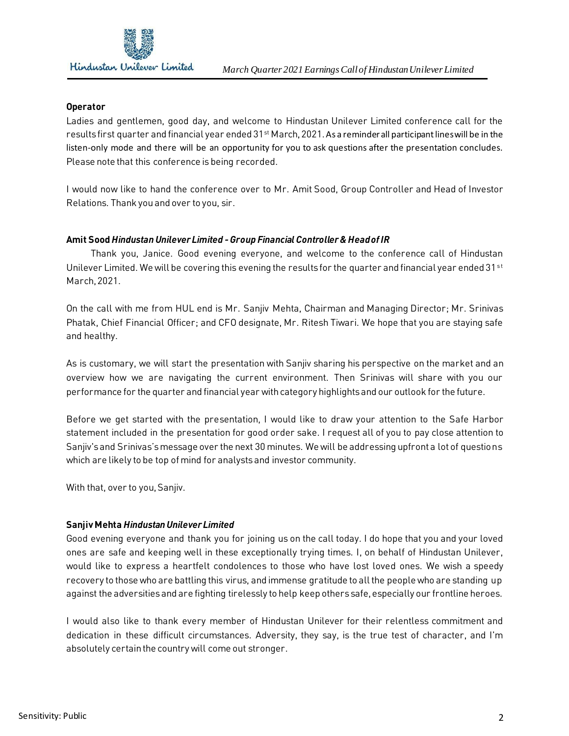

#### **Operator**

Ladies and gentlemen, good day, and welcome to Hindustan Unilever Limited conference call for the results first quarter and financial year ended  $31^{st}$  March, 2021. As a reminder all participant lines will be in the listen-only mode and there will be an opportunity for you to ask questions after the presentation concludes. Please note that this conference is being recorded.

I would now like to hand the conference over to Mr. Amit Sood, Group Controller and Head of Investor Relations. Thank you and over to you, sir.

## **Amit Sood** *Hindustan Unilever Limited -Group Financial Controller & Head of IR*

 Thank you, Janice. Good evening everyone, and welcome to the conference call of Hindustan Unilever Limited. We will be covering this evening the results for the quarter and financial year ended  $31^{st}$ March, 2021.

On the call with me from HUL end is Mr. Sanjiv Mehta, Chairman and Managing Director; Mr. Srinivas Phatak, Chief Financial Officer; and CFO designate, Mr. Ritesh Tiwari. We hope that you are staying safe and healthy.

As is customary, we will start the presentation with Sanjiv sharing his perspective on the market and an overview how we are navigating the current environment. Then Srinivas will share with you our performance for the quarter and financial year with category highlights and our outlook for the future.

Before we get started with the presentation, I would like to draw your attention to the Safe Harbor statement included in the presentation for good order sake. I request all of you to pay close attention to Sanjiv's and Srinivas'smessage over the next 30 minutes. We will be addressing upfront a lot of questions which are likely to be top of mind for analysts and investor community.

With that, over to you, Sanjiv.

#### **Sanjiv Mehta** *Hindustan Unilever Limited*

Good evening everyone and thank you for joining us on the call today. I do hope that you and your loved ones are safe and keeping well in these exceptionally trying times. I, on behalf of Hindustan Unilever, would like to express a heartfelt condolences to those who have lost loved ones. We wish a speedy recovery to those who are battling this virus, and immense gratitude to all the people who are standing up against the adversities and are fighting tirelessly to help keep others safe, especially our frontline heroes.

I would also like to thank every member of Hindustan Unilever for their relentless commitment and dedication in these difficult circumstances. Adversity, they say, is the true test of character, and I'm absolutely certain the country will come out stronger.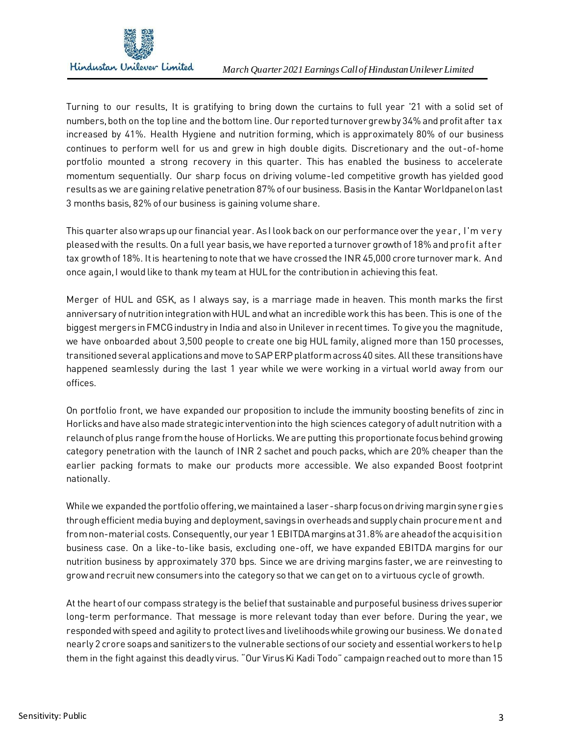

Turning to our results, It is gratifying to bring down the curtains to full year '21 with a solid set of numbers, both on the top line and the bottom line. Our reported turnover grew by 34% and profit after tax increased by 41%. Health Hygiene and nutrition forming, which is approximately 80% of our business continues to perform well for us and grew in high double digits. Discretionary and the out-of-home portfolio mounted a strong recovery in this quarter. This has enabled the business to accelerate momentum sequentially. Our sharp focus on driving volume-led competitive growth has yielded good results as we are gaining relative penetration 87% of our business. Basis in the Kantar Worldpanel on last 3 months basis, 82% of our business is gaining volume share.

This quarter also wraps up our financial year. As I look back on our performance over the year, I'm very pleased with the results. On a full year basis, we have reported a turnover growth of 18% and profit after tax growth of 18%. It is heartening to note that we have crossed the INR 45,000 crore turnover mark. And once again, I would like to thank my team at HUL for the contribution in achieving this feat.

Merger of HUL and GSK, as I always say, is a marriage made in heaven. This month marks the first anniversary of nutrition integration with HUL and what an incredible work this has been. This is one of the biggest mergers in FMCGindustry in India and also in Unilever in recent times. To give you the magnitude, we have onboarded about 3,500 people to create one big HUL family, aligned more than 150 processes, transitioned several applications and move to SAP ERP platform across 40 sites. All these transitions have happened seamlessly during the last 1 year while we were working in a virtual world away from our offices.

On portfolio front, we have expanded our proposition to include the immunity boosting benefits of zinc in Horlicks and have also made strategic intervention into the high sciences category of adult nutrition with a relaunch of plus range from the house of Horlicks. We are putting this proportionate focus behind growing category penetration with the launch of INR 2 sachet and pouch packs, which are 20% cheaper than the earlier packing formats to make our products more accessible. We also expanded Boost footprint nationally.

While we expanded the portfolio offering, we maintained a laser-sharp focus on driving margin synergies through efficient media buying and deployment, savings in overheads and supply chain procurement and from non-material costs. Consequently, our year 1 EBITDA margins at 31.8% are ahead of the acquisition business case. On a like-to-like basis, excluding one-off, we have expanded EBITDA margins for our nutrition business by approximately 370 bps. Since we are driving margins faster, we are reinvesting to grow and recruit new consumers into the category so that we can get on to a virtuous cycle of growth.

At the heart of our compass strategy is the belief that sustainable and purposeful business drives superior long-term performance. That message is more relevant today than ever before. During the year, we responded with speed and agility to protect lives and livelihoods while growing our business. We donated nearly 2 crore soaps and sanitizers to the vulnerable sections of our society and essential workers to help them in the fight against this deadly virus. "Our VirusKi Kadi Todo" campaignreached out to more than 15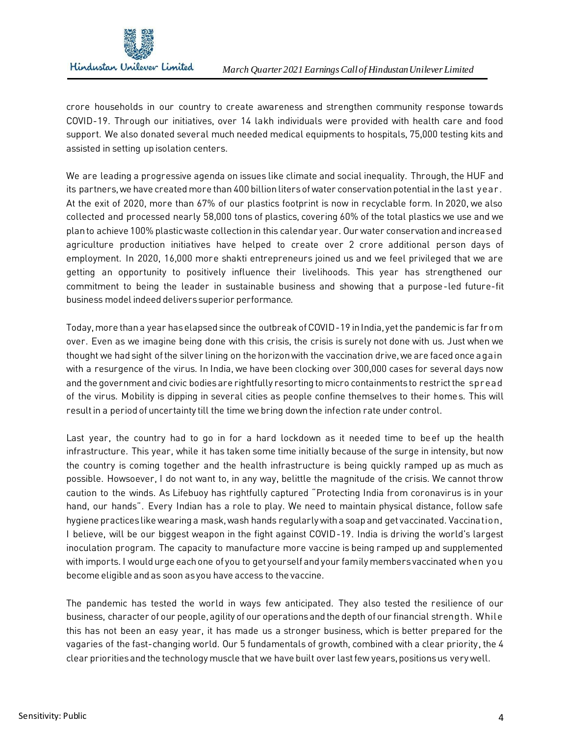

crore households in our country to create awareness and strengthen community response towards COVID-19. Through our initiatives, over 14 lakh individuals were provided with health care and food support. We also donated several much needed medical equipments to hospitals, 75,000 testing kits and assisted in setting up isolation centers.

We are leading a progressive agenda on issues like climate and social inequality. Through, the HUF and its partners, we have created more than 400 billion liters of water conservation potential in the last year. At the exit of 2020, more than 67% of our plastics footprint is now in recyclable form. In 2020, we also collected and processed nearly 58,000 tons of plastics, covering 60% of the total plastics we use and we plan to achieve 100% plastic waste collection in this calendar year. Our water conservation and increased agriculture production initiatives have helped to create over 2 crore additional person days of employment. In 2020, 16,000 more shakti entrepreneurs joined us and we feel privileged that we are getting an opportunity to positively influence their livelihoods. This year has strengthened our commitment to being the leader in sustainable business and showing that a purpose-led future-fit business model indeed delivers superior performance.

Today, more than a year has elapsed since the outbreak of COVID-19 in India, yet the pandemic is far from over. Even as we imagine being done with this crisis, the crisis is surely not done with us. Just when we thought we had sight of the silver lining on the horizon with the vaccination drive, we are faced once again with a resurgence of the virus. In India, we have been clocking over 300,000 cases for several days now and the government and civic bodies are rightfully resorting to micro containments to restrict the spread of the virus. Mobility is dipping in several cities as people confine themselves to their homes. This will result in a period of uncertainty till the time we bring down the infection rate under control.

Last year, the country had to go in for a hard lockdown as it needed time to beef up the health infrastructure. This year, while it has taken some time initially because of the surge in intensity, but now the country is coming together and the health infrastructure is being quickly ramped up as much as possible. Howsoever, I do not want to, in any way, belittle the magnitude of the crisis. We cannot throw caution to the winds. As Lifebuoy has rightfully captured "Protecting India from coronavirus is in your hand, our hands". Every Indian has a role to play. We need to maintain physical distance, follow safe hygiene practices like wearing a mask, wash hands regularly with a soap and get vaccinated. Vaccination, I believe, will be our biggest weapon in the fight against COVID-19. India is driving the world's largest inoculation program. The capacity to manufacture more vaccine is being ramped up and supplemented with imports. I would urge each one of you to get yourself and your family members vaccinated when you become eligible and as soon as you have access to the vaccine.

The pandemic has tested the world in ways few anticipated. They also tested the resilience of our business, character of our people, agility of our operationsand the depth of our financial strength. While this has not been an easy year, it has made us a stronger business, which is better prepared for the vagaries of the fast-changing world. Our 5 fundamentals of growth, combined with a clear priority, the 4 clear priorities and the technology muscle that we have built over last few years, positions us very well.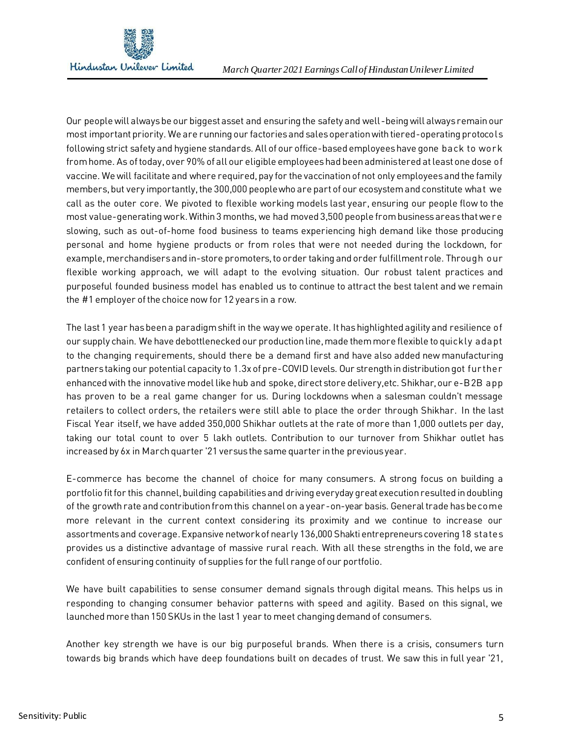

Our people will always be our biggest asset and ensuring the safety and well-being will always remain our most important priority. We are running our factories and sales operation with tiered-operating protocols following strict safety and hygiene standards. All of our office-based employees have gone back to work from home. As of today, over 90% of all our eligible employees had been administered at least one dose of vaccine. We will facilitate and where required, pay for the vaccination of not only employees and the family members, but very importantly, the 300,000 people who are part of our ecosystem and constitute what we call as the outer core. We pivoted to flexible working models last year, ensuring our people flow to the most value-generating work. Within 3 months, we had moved 3,500 people from business areas that were slowing, such as out-of-home food business to teams experiencing high demand like those producing personal and home hygiene products or from roles that were not needed during the lockdown, for example, merchandisers and in-store promoters, to order taking and order fulfillment role. Through our flexible working approach, we will adapt to the evolving situation. Our robust talent practices and purposeful founded business model has enabled us to continue to attract the best talent and we remain the #1 employer of the choice now for 12 years in a row.

The last 1 year has been a paradigm shift in the way we operate. It has highlighted agility and resilience of our supply chain. We have debottlenecked our production line, made them more flexible to quickly adapt to the changing requirements, should there be a demand first and have also added new manufacturing partners taking our potential capacity to 1.3x of pre-COVID levels. Our strength in distribution got further enhanced with the innovative model like hub and spoke, direct store delivery,etc. Shikhar, our e-B2B app has proven to be a real game changer for us. During lockdowns when a salesman couldn't message retailers to collect orders, the retailers were still able to place the order through Shikhar. In the last Fiscal Year itself, we have added 350,000 Shikhar outlets at the rate of more than 1,000 outlets per day, taking our total count to over 5 lakh outlets. Contribution to our turnover from Shikhar outlet has increased by 6x in March quarter '21 versus the same quarter in the previous year.

E-commerce has become the channel of choice for many consumers. A strong focus on building a portfolio fit for this channel, building capabilities and driving everyday great execution resulted in doubling of the growth rate and contribution from this channel on a year-on-year basis. General trade has become more relevant in the current context considering its proximity and we continue to increase our assortments and coverage.Expansive network of nearly 136,000 Shakti entrepreneurs covering 18 states provides us a distinctive advantage of massive rural reach. With all these strengths in the fold, we are confident of ensuring continuity of supplies for the full range of our portfolio.

We have built capabilities to sense consumer demand signals through digital means. This helps us in responding to changing consumer behavior patterns with speed and agility. Based on this signal, we launched more than 150 SKUs in the last 1 year to meet changing demand of consumers.

Another key strength we have is our big purposeful brands. When there is a crisis, consumers turn towards big brands which have deep foundations built on decades of trust. We saw this in full year '21,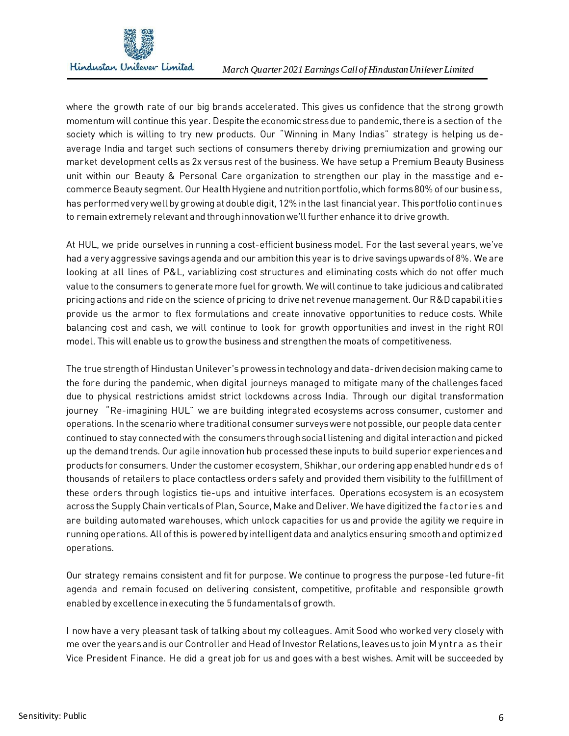

where the growth rate of our big brands accelerated. This gives us confidence that the strong growth momentum will continue this year. Despite the economic stress due to pandemic, there is a section of the society which is willing to try new products. Our "Winning in Many Indias" strategy is helping us deaverage India and target such sections of consumers thereby driving premiumization and growing our market development cells as 2x versus rest of the business. We have setup a Premium Beauty Business unit within our Beauty & Personal Care organization to strengthen our play in the masstige and ecommerce Beauty segment. Our Health Hygiene and nutrition portfolio, which forms 80% of our business, has performed very well by growing at double digit, 12% in the last financial year. This portfolio continues to remain extremely relevant and through innovation we'll further enhance it to drive growth.

At HUL, we pride ourselves in running a cost-efficient business model. For the last several years, we've had a very aggressive savings agenda and our ambition this year is to drive savings upwards of 8%. We are looking at all lines of P&L, variablizing cost structures and eliminating costs which do not offer much value to the consumers to generate more fuel for growth. We will continue to take judicious and calibrated pricing actions and ride on the science of pricing to drive net revenue management. Our R&D capabilities provide us the armor to flex formulations and create innovative opportunities to reduce costs. While balancing cost and cash, we will continue to look for growth opportunities and invest in the right ROI model. This will enable us to grow the business and strengthen the moats of competitiveness.

The true strength of Hindustan Unilever's prowess in technology and data-driven decision making came to the fore during the pandemic, when digital journeys managed to mitigate many of the challenges faced due to physical restrictions amidst strict lockdowns across India. Through our digital transformation journey "Re-imagining HUL" we are building integrated ecosystems across consumer, customer and operations. In the scenario where traditional consumer surveys were not possible, our people data center continued to stay connected with the consumers through social listening and digital interaction and picked up the demand trends. Our agile innovation hub processed these inputs to build superior experiences and products for consumers. Under the customer ecosystem, Shikhar, our ordering app enabled hundreds of thousands of retailers to place contactless orders safely and provided them visibility to the fulfillment of these orders through logistics tie-ups and intuitive interfaces. Operations ecosystem is an ecosystem across the Supply Chain verticals of Plan, Source, Make and Deliver. We have digitized the factories and are building automated warehouses, which unlock capacities for us and provide the agility we require in running operations. All of this is powered by intelligent data and analytics ensuring smooth and optimized operations.

Our strategy remains consistent and fit for purpose. We continue to progress the purpose-led future-fit agenda and remain focused on delivering consistent, competitive, profitable and responsible growth enabled by excellence in executing the 5 fundamentals of growth.

I now have a very pleasant task of talking about my colleagues. Amit Sood who worked very closely with me over the years and is our Controller and Head of Investor Relations, leaves us to join M yntra as their Vice President Finance. He did a great job for us and goes with a best wishes. Amit will be succeeded by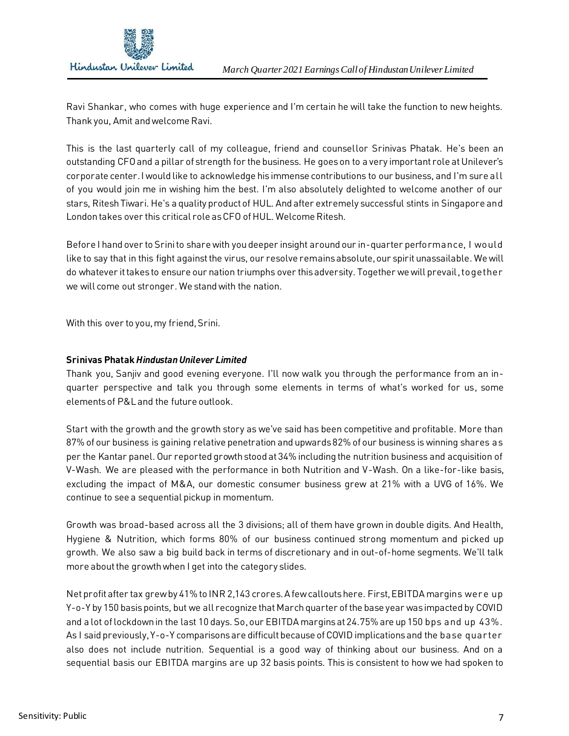

Ravi Shankar, who comes with huge experience and I'm certain he will take the function to new heights. Thank you, Amit and welcome Ravi.

This is the last quarterly call of my colleague, friend and counsellor Srinivas Phatak. He's been an outstanding CFO and a pillar of strength for the business. He goes on to a very important role at Unilever's corporate center. I would like to acknowledge his immense contributions to our business, and I'm sure all of you would join me in wishing him the best. I'm also absolutely delighted to welcome another of our stars, Ritesh Tiwari. He's a quality product of HUL. And after extremely successful stints in Singapore and London takes over this critical role as CFO of HUL. Welcome Ritesh.

Before I hand over to Srini to share with you deeper insight around our in-quarter performance, I would like to say that in this fight against the virus, our resolve remains absolute, our spirit unassailable. We will do whatever it takes to ensure our nation triumphs over this adversity. Together we will prevail,together we will come out stronger. We stand with the nation.

With this over to you, my friend, Srini.

## **Srinivas Phatak** *Hindustan Unilever Limited*

Thank you, Sanjiv and good evening everyone. I'll now walk you through the performance from an inquarter perspective and talk you through some elements in terms of what's worked for us, some elements of P&L and the future outlook.

Start with the growth and the growth story as we've said has been competitive and profitable. More than 87% of our business is gaining relative penetration and upwards 82% of our business is winning shares as per the Kantar panel. Our reported growth stood at 34% including the nutrition business and acquisition of V-Wash. We are pleased with the performance in both Nutrition and V-Wash. On a like-for-like basis, excluding the impact of M&A, our domestic consumer business grew at 21% with a UVG of 16%. We continue to see a sequential pickup in momentum.

Growth was broad-based across all the 3 divisions; all of them have grown in double digits. And Health, Hygiene & Nutrition, which forms 80% of our business continued strong momentum and picked up growth. We also saw a big build back in terms of discretionary and in out-of-home segments. We'll talk more about the growth when I get into the category slides.

Net profit after tax grew by 41% to INR 2,143 crores. A few callouts here. First, EBITDA margins were up Y-o-Y by 150 basis points, but we all recognize that March quarter of the base year was impacted by COVID and a lot of lockdown in the last 10 days. So,our EBITDA margins at 24.75% are up 150 bps and up 43%. As I said previously, Y-o-Y comparisons are difficult because of COVID implications and the base quarter also does not include nutrition. Sequential is a good way of thinking about our business. And on a sequential basis our EBITDA margins are up 32 basis points. This is consistent to how we had spoken to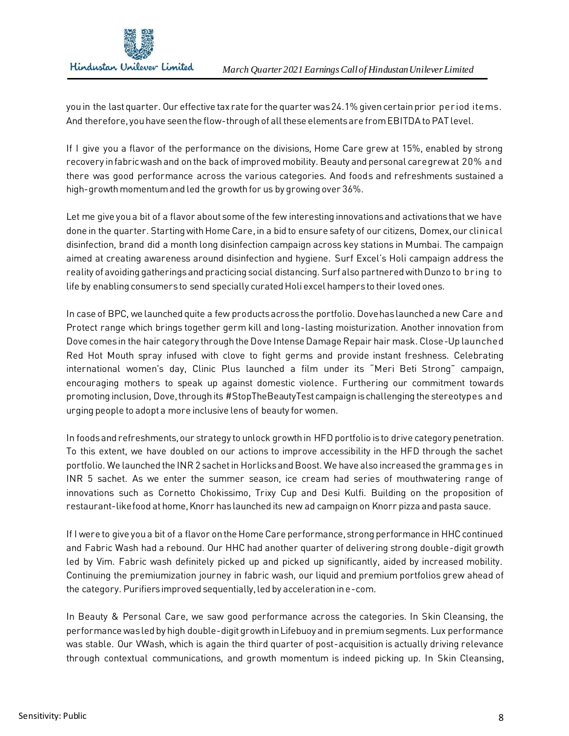

you in the last quarter. Our effective tax rate for the quarter was 24.1% given certain prior period items. And therefore, you have seen the flow-through of all these elements are from EBITDA to PAT level.

If I give you a flavor of the performance on the divisions, Home Care grew at 15%, enabled by strong recovery in fabric wash and on the back of improved mobility. Beauty and personal care grew at 20% and there was good performance across the various categories. And foods and refreshments sustained a high-growth momentum and led the growth for us by growing over 36%.

Let me give you a bit of a flavor about some of the few interesting innovations and activations that we have done in the quarter. Starting with Home Care, in a bid to ensure safety of our citizens, Domex, our clinical disinfection, brand did a month long disinfection campaign across key stations in Mumbai. The campaign aimed at creating awareness around disinfection and hygiene. Surf Excel's Holi campaign address the reality of avoiding gatherings and practicing social distancing. Surf also partnered with Dunzo to bring to life by enabling consumers to send specially curated Holi excel hampers to their loved ones.

In case of BPC, we launched quite a few products across the portfolio. Dove has launched a new Care and Protect range which brings together germ kill and long-lasting moisturization. Another innovation from Dove comes in the hair category through the Dove Intense Damage Repair hair mask. Close-Up launched Red Hot Mouth spray infused with clove to fight germs and provide instant freshness. Celebrating international women's day, Clinic Plus launched a film under its "Meri Beti Strong" campaign, encouraging mothers to speak up against domestic violence. Furthering our commitment towards promoting inclusion, Dove, through its #StopTheBeautyTest campaign is challenging the stereotypes and urging people to adopt a more inclusive lens of beauty for women.

In foods and refreshments, our strategy to unlock growth in HFD portfolio is to drive category penetration. To this extent, we have doubled on our actions to improve accessibility in the HFD through the sachet portfolio. We launched the INR 2 sachet in Horlicks and Boost. We have also increased the grammages in INR 5 sachet. As we enter the summer season, ice cream had series of mouthwatering range of innovations such as Cornetto Chokissimo, Trixy Cup and Desi Kulfi. Building on the proposition of restaurant-like food at home, Knorr has launched its new ad campaign on Knorr pizza and pasta sauce.

If I were to give you a bit of a flavor on the Home Care performance, strong performance in HHC continued and Fabric Wash had a rebound. Our HHC had another quarter of delivering strong double-digit growth led by Vim. Fabric wash definitely picked up and picked up significantly, aided by increased mobility. Continuing the premiumization journey in fabric wash, our liquid and premium portfolios grew ahead of the category. Purifiers improved sequentially, led by acceleration in e-com.

In Beauty & Personal Care, we saw good performance across the categories. In Skin Cleansing, the performance was led by high double-digit growth in Lifebuoy and in premium segments. Lux performance was stable. Our VWash, which is again the third quarter of post-acquisition is actually driving relevance through contextual communications, and growth momentum is indeed picking up. In Skin Cleansing,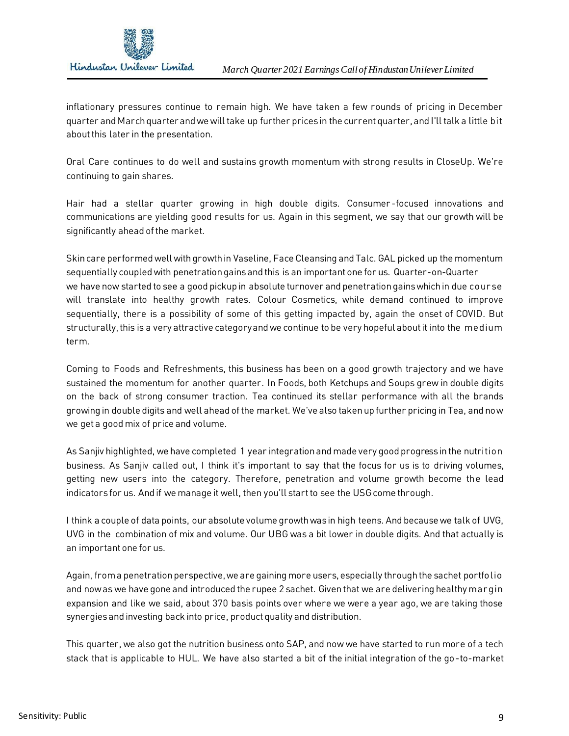

inflationary pressures continue to remain high. We have taken a few rounds of pricing in December quarter and March quarter and we will take up further prices in the current quarter, and I'll talk a little bit about this later in the presentation.

Oral Care continues to do well and sustains growth momentum with strong results in CloseUp. We're continuing to gain shares.

Hair had a stellar quarter growing in high double digits. Consumer -focused innovations and communications are yielding good results for us. Again in this segment, we say that our growth will be significantly ahead of the market.

Skin care performed well with growth in Vaseline, Face Cleansing and Talc. GAL picked up the momentum sequentially coupled with penetration gains and this is an important one for us. Quarter-on-Quarter we have now started to see a good pickup in absolute turnover and penetration gains which in due course will translate into healthy growth rates. Colour Cosmetics, while demand continued to improve sequentially, there is a possibility of some of this getting impacted by, again the onset of COVID. But structurally, this is a very attractive category and we continue to be very hopeful about it into the medium term.

Coming to Foods and Refreshments, this business has been on a good growth trajectory and we have sustained the momentum for another quarter. In Foods, both Ketchups and Soups grew in double digits on the back of strong consumer traction. Tea continued its stellar performance with all the brands growing in double digits and well ahead of the market. We've also taken up further pricing in Tea, and now we get a good mix of price and volume.

As Sanjiv highlighted, we have completed 1 year integration and made very good progress in the nutrition business. As Sanjiv called out, I think it's important to say that the focus for us is to driving volumes, getting new users into the category. Therefore, penetration and volume growth become the lead indicators for us. And if we manage it well, then you'll start to see the USG come through.

I think a couple of data points, our absolute volume growth was in high teens. And because we talk of UVG, UVG in the combination of mix and volume. Our UBG was a bit lower in double digits. And that actually is an important one for us.

Again, from a penetration perspective, we are gaining more users, especially through the sachet portfolio and now as we have gone and introduced the rupee 2 sachet. Given that we are delivering healthy margin expansion and like we said, about 370 basis points over where we were a year ago, we are taking those synergies and investing back into price, product quality and distribution.

This quarter, we also got the nutrition business onto SAP, and now we have started to run more of a tech stack that is applicable to HUL. We have also started a bit of the initial integration of the go-to-market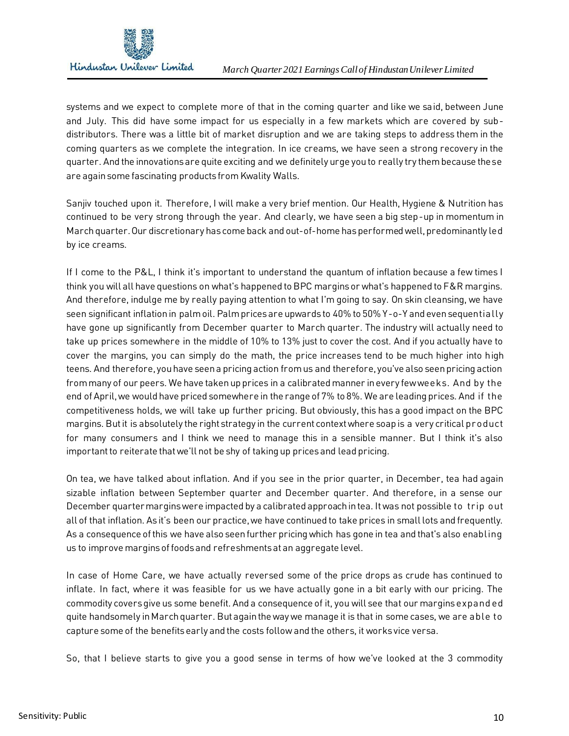

systems and we expect to complete more of that in the coming quarter and like we said, between June and July. This did have some impact for us especially in a few markets which are covered by subdistributors. There was a little bit of market disruption and we are taking steps to address them in the coming quarters as we complete the integration. In ice creams, we have seen a strong recovery in the quarter. And the innovations are quite exciting and we definitely urge you to really try them because these are again some fascinating products from Kwality Walls.

Sanjiv touched upon it. Therefore, I will make a very brief mention. Our Health, Hygiene & Nutrition has continued to be very strong through the year. And clearly, we have seen a big step-up in momentum in March quarter. Our discretionary has come back and out-of-home has performed well, predominantly led by ice creams.

If I come to the P&L, I think it's important to understand the quantum of inflation because a few times I think you will all have questions on what's happened to BPC margins or what's happened to F&R margins. And therefore, indulge me by really paying attention to what I'm going to say. On skin cleansing, we have seen significant inflation in palm oil. Palm prices are upwards to 40% to 50% Y-o-Y and even sequentially have gone up significantly from December quarter to March quarter. The industry will actually need to take up prices somewhere in the middle of 10% to 13% just to cover the cost. And if you actually have to cover the margins, you can simply do the math, the price increases tend to be much higher into high teens. And therefore, you have seen a pricing action from us and therefore, you've also seen pricing action from many of our peers. We have taken up prices in a calibrated manner in every few weeks. And by the end of April, we would have priced somewhere in the range of 7% to 8%. We are leading prices. And if the competitiveness holds, we will take up further pricing. But obviously, this has a good impact on the BPC margins. But it is absolutely the right strategy in the current context where soap is a very critical product for many consumers and I think we need to manage this in a sensible manner. But I think it's also important to reiterate that we'll not be shy of taking up prices and lead pricing.

On tea, we have talked about inflation. And if you see in the prior quarter, in December, tea had again sizable inflation between September quarter and December quarter. And therefore, in a sense our December quarter margins were impacted by a calibrated approach in tea. It was not possible to trip out all of that inflation. As it's been our practice, we have continued to take prices in small lots and frequently. As a consequence of this we have also seen further pricing which has gone in tea and that's also enabling us to improve margins of foods and refreshments at an aggregate level.

In case of Home Care, we have actually reversed some of the price drops as crude has continued to inflate. In fact, where it was feasible for us we have actually gone in a bit early with our pricing. The commodity covers give us some benefit. And a consequence of it, you will see that our margins expand ed quite handsomely in March quarter. But again the way we manage it is that in some cases, we are able to capture some of the benefits early and the costs follow and the others, it works vice versa.

So, that I believe starts to give you a good sense in terms of how we've looked at the 3 commodity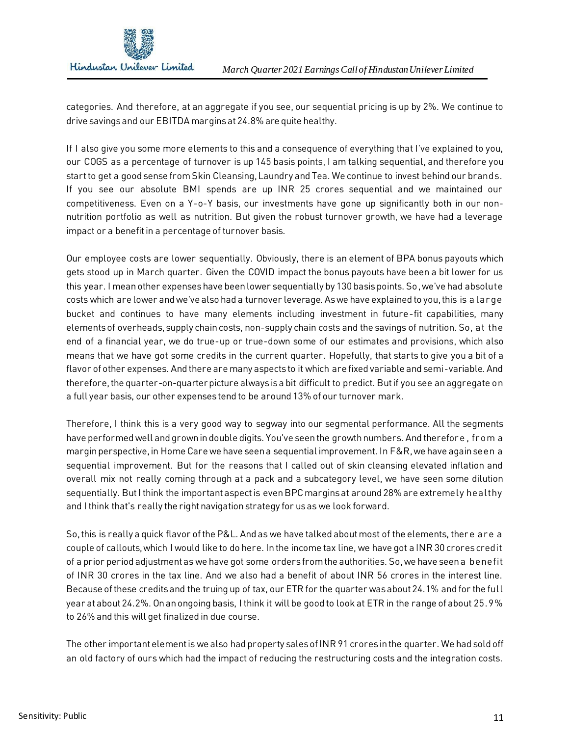

categories. And therefore, at an aggregate if you see, our sequential pricing is up by 2%. We continue to drive savings and our EBITDA margins at 24.8% are quite healthy.

If I also give you some more elements to this and a consequence of everything that I've explained to you, our COGS as a percentage of turnover is up 145 basis points, I am talking sequential, and therefore you start to get a good sense from Skin Cleansing, Laundry and Tea. We continue to invest behind our brands. If you see our absolute BMI spends are up INR 25 crores sequential and we maintained our competitiveness. Even on a Y-o-Y basis, our investments have gone up significantly both in our nonnutrition portfolio as well as nutrition. But given the robust turnover growth, we have had a leverage impact or a benefit in a percentage of turnover basis.

Our employee costs are lower sequentially. Obviously, there is an element of BPA bonus payouts which gets stood up in March quarter. Given the COVID impact the bonus payouts have been a bit lower for us this year. I mean other expenses have been lower sequentially by 130 basis points. So,we've had absolute costs which are lower and we've also had a turnover leverage. As we have explained to you, this is a large bucket and continues to have many elements including investment in future-fit capabilities, many elements of overheads, supply chain costs, non-supply chain costs and the savings of nutrition. So, at the end of a financial year, we do true-up or true-down some of our estimates and provisions, which also means that we have got some credits in the current quarter. Hopefully, that starts to give you a bit of a flavor of other expenses. And there are many aspects to it which are fixed variable and semi-variable. And therefore, the quarter-on-quarter picture always is a bit difficult to predict. But if you see an aggregate on a full year basis, our other expenses tend to be around 13% of our turnover mark.

Therefore, I think this is a very good way to segway into our segmental performance. All the segments have performed well and grown in double digits. You've seen the growth numbers. And therefore , from a margin perspective, in Home Care we have seen a sequential improvement. In F&R, we have again seen a sequential improvement. But for the reasons that I called out of skin cleansing elevated inflation and overall mix not really coming through at a pack and a subcategory level, we have seen some dilution sequentially. But I think the important aspect is even BPC margins at around 28% are extremely healthy and I think that's really the right navigation strategy for us as we look forward.

So,this is really a quick flavor of the P&L. And as we have talked about most of the elements, there are a couple of callouts, which I would like to do here. In the income tax line, we have got a INR 30 crores credit of a prior period adjustment as we have got some orders from the authorities. So,we have seen a benefit of INR 30 crores in the tax line. And we also had a benefit of about INR 56 crores in the interest line. Because of these credits and the truing up of tax, our ETR for the quarter was about 24.1% and for the full year at about 24.2%. On an ongoing basis, I think it will be good to look at ETR in the range of about 25.9% to 26% and this will get finalized in due course.

The other important element is we also had property sales of INR 91 croresin the quarter. We had sold off an old factory of ours which had the impact of reducing the restructuring costs and the integration costs.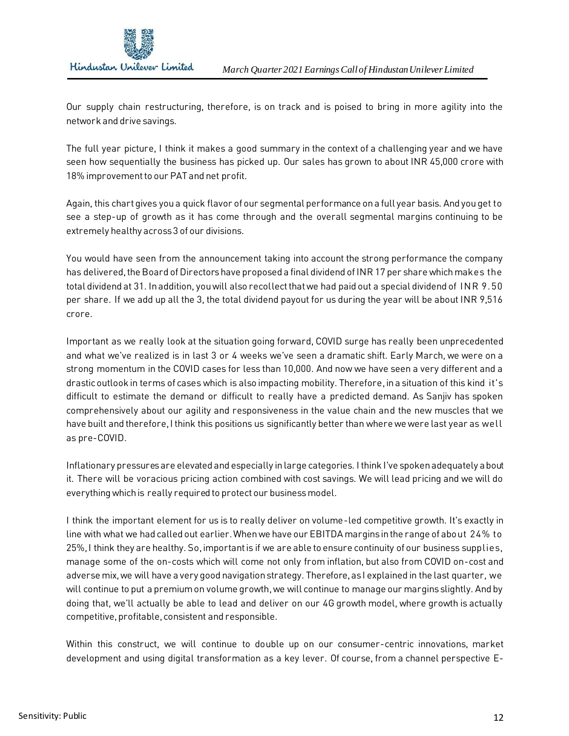

Our supply chain restructuring, therefore, is on track and is poised to bring in more agility into the network and drive savings.

The full year picture, I think it makes a good summary in the context of a challenging year and we have seen how sequentially the business has picked up. Our sales has grown to about INR 45,000 crore with 18% improvement to our PAT and net profit.

Again, this chart gives you a quick flavor of our segmental performance on a full year basis. And you get to see a step-up of growth as it has come through and the overall segmental margins continuing to be extremely healthy across 3 of our divisions.

You would have seen from the announcement taking into account the strong performance the company has delivered, the Board of Directors have proposed a final dividend of INR 17 per share which makes the total dividend at 31. In addition, you will also recollect that we had paid out a special dividend of INR 9.50 per share. If we add up all the 3, the total dividend payout for us during the year will be about INR 9,516 crore.

Important as we really look at the situation going forward, COVID surge has really been unprecedented and what we've realized is in last 3 or 4 weeks we've seen a dramatic shift. Early March, we were on a strong momentum in the COVID cases for less than 10,000. And now we have seen a very different and a drastic outlook in terms of cases which is also impacting mobility. Therefore, in a situation of this kind it's difficult to estimate the demand or difficult to really have a predicted demand. As Sanjiv has spoken comprehensively about our agility and responsiveness in the value chain and the new muscles that we have built and therefore, I think this positions us significantly better than where we were last year as well as pre-COVID.

Inflationary pressures are elevated and especially in large categories. I think I've spoken adequately about it. There will be voracious pricing action combined with cost savings. We will lead pricing and we will do everything which is really required to protect our business model.

I think the important element for us is to really deliver on volume-led competitive growth. It's exactly in line with what we had called out earlier. When we have our EBITDA margins in the range of about 24% to 25%, I think they are healthy. So,important is if we are able to ensure continuity of our business supplies, manage some of the on-costs which will come not only from inflation, but also from COVID on-cost and adverse mix, we will have a very good navigation strategy. Therefore, as I explained in the last quarter, we will continue to put a premium on volume growth, we will continue to manage our margins slightly. And by doing that, we'll actually be able to lead and deliver on our 4G growth model, where growth is actually competitive, profitable, consistent and responsible.

Within this construct, we will continue to double up on our consumer-centric innovations, market development and using digital transformation as a key lever. Of course, from a channel perspective E-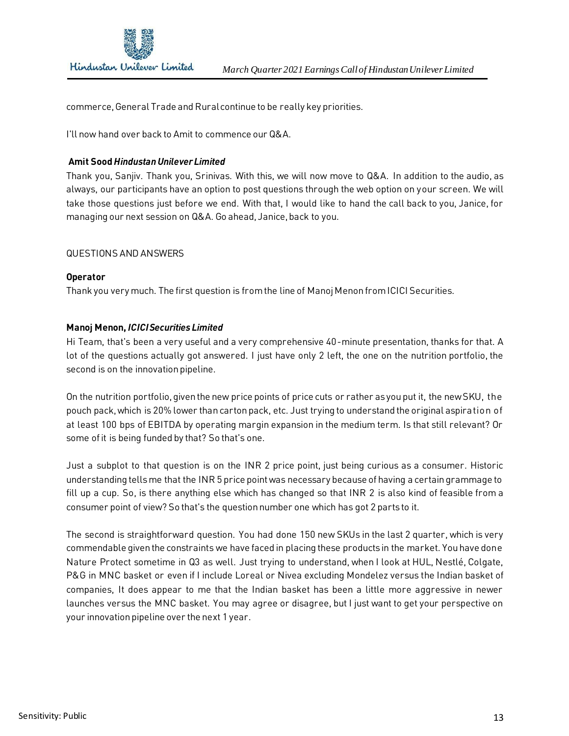

commerce, General Trade and Rural continue to be really key priorities.

I'll now hand over back to Amit to commence our Q&A.

## **Amit Sood** *Hindustan Unilever Limited*

Thank you, Sanjiv. Thank you, Srinivas. With this, we will now move to Q&A. In addition to the audio, as always, our participants have an option to post questions through the web option on your screen. We will take those questions just before we end. With that, I would like to hand the call back to you, Janice, for managing our next session on Q&A. Go ahead, Janice, back to you.

## QUESTIONS AND ANSWERS

#### **Operator**

Thank you very much. The first question is from the line of Manoj Menon from ICICI Securities.

## **Manoj Menon,** *ICICI Securities Limited*

Hi Team, that's been a very useful and a very comprehensive 40-minute presentation, thanks for that. A lot of the questions actually got answered. I just have only 2 left, the one on the nutrition portfolio, the second is on the innovation pipeline.

On the nutrition portfolio, given the new price points of price cuts or rather as you put it, the new SKU, the pouch pack, which is 20% lower than carton pack, etc. Just trying to understand the original aspiration of at least 100 bps of EBITDA by operating margin expansion in the medium term. Is that still relevant? Or some of it is being funded by that? So that's one.

Just a subplot to that question is on the INR 2 price point, just being curious as a consumer. Historic understanding tells me that the INR 5 price point was necessary because of having a certain grammage to fill up a cup. So, is there anything else which has changed so that INR 2 is also kind of feasible from a consumer point of view? So that's the question number one which has got 2 parts to it.

The second is straightforward question. You had done 150 new SKUs in the last 2 quarter, which is very commendable given the constraints we have faced in placing these products in the market. You have done Nature Protect sometime in Q3 as well. Just trying to understand, when I look at HUL, Nestlé, Colgate, P&G in MNC basket or even if I include Loreal or Nivea excluding Mondelez versus the Indian basket of companies, It does appear to me that the Indian basket has been a little more aggressive in newer launches versus the MNC basket. You may agree or disagree, but I just want to get your perspective on your innovation pipeline over the next 1 year.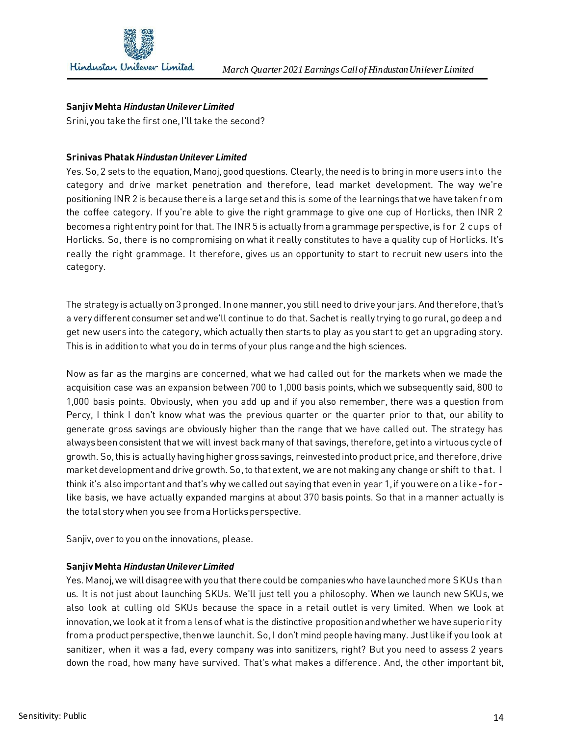

## **Sanjiv Mehta** *Hindustan Unilever Limited*

Srini, you take the first one, I'll take the second?

## **Srinivas Phatak** *Hindustan Unilever Limited*

Yes. So,2 sets to the equation, Manoj, good questions. Clearly, the need is to bring in more users into the category and drive market penetration and therefore, lead market development. The way we're positioning INR 2 is because there is a large set and this is some of the learnings that we have taken from the coffee category. If you're able to give the right grammage to give one cup of Horlicks, then INR 2 becomes a right entry point for that. The INR 5 is actually from a grammage perspective, is for 2 cups of Horlicks. So, there is no compromising on what it really constitutes to have a quality cup of Horlicks. It's really the right grammage. It therefore, gives us an opportunity to start to recruit new users into the category.

The strategy is actually on 3 pronged. In one manner, you still need to drive your jars. And therefore, that's a very different consumer set and we'll continue to do that. Sachet is really trying to go rural, go deep and get new users into the category, which actually then starts to play as you start to get an upgrading story. This is in addition to what you do in terms of your plus range and the high sciences.

Now as far as the margins are concerned, what we had called out for the markets when we made the acquisition case was an expansion between 700 to 1,000 basis points, which we subsequently said, 800 to 1,000 basis points. Obviously, when you add up and if you also remember, there was a question from Percy, I think I don't know what was the previous quarter or the quarter prior to that, our ability to generate gross savings are obviously higher than the range that we have called out. The strategy has always been consistent that we will invest back many of that savings, therefore, get into a virtuous cycle of growth. So,this is actually having higher gross savings, reinvested into product price, and therefore, drive market development and drive growth. So, to that extent, we are not making any change or shift to that. I think it's also important and that's why we called out saying that even in year 1, if you were on a like- for like basis, we have actually expanded margins at about 370 basis points. So that in a manner actually is the total story when you see from a Horlicks perspective.

Sanjiv, over to you on the innovations, please.

#### **Sanjiv Mehta** *Hindustan Unilever Limited*

Yes. Manoj, we will disagree with you that there could be companies who have launched more SKUs than us. It is not just about launching SKUs. We'll just tell you a philosophy. When we launch new SKUs, we also look at culling old SKUs because the space in a retail outlet is very limited. When we look at innovation, we look at it from a lens of what is the distinctive proposition and whether we have superiority from a product perspective, then we launch it. So,I don't mind people having many. Just like if you look at sanitizer, when it was a fad, every company was into sanitizers, right? But you need to assess 2 years down the road, how many have survived. That's what makes a difference. And, the other important bit,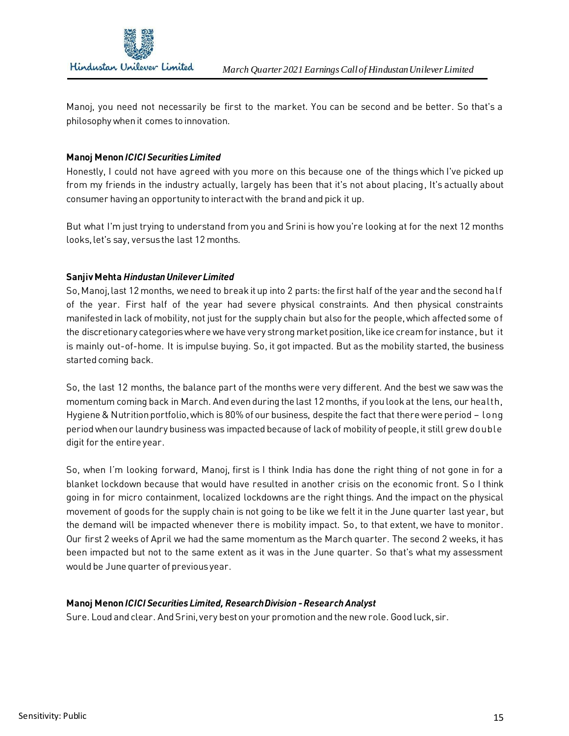

Manoj, you need not necessarily be first to the market. You can be second and be better. So that's a philosophy when it comes to innovation.

## **Manoj Menon** *ICICI Securities Limited*

Honestly, I could not have agreed with you more on this because one of the things which I've picked up from my friends in the industry actually, largely has been that it's not about placing, It's actually about consumer having an opportunity to interact with the brand and pick it up.

But what I'm just trying to understand from you and Srini is how you're looking at for the next 12 months looks, let's say, versus the last 12 months.

#### **Sanjiv Mehta** *Hindustan Unilever Limited*

So,Manoj, last 12 months, we need to break it up into 2 parts: the first half of the year and the second half of the year. First half of the year had severe physical constraints. And then physical constraints manifested in lack of mobility, not just for the supply chain but also for the people, which affected some of the discretionary categories where we have very strong market position, like ice cream for instance, but it is mainly out-of-home. It is impulse buying. So, it got impacted. But as the mobility started, the business started coming back.

So, the last 12 months, the balance part of the months were very different. And the best we saw was the momentum coming back in March. And even during the last 12 months, if you look at the lens, our health, Hygiene & Nutrition portfolio, which is 80% of our business, despite the fact that there were period – long period when our laundry business was impacted because of lack of mobility of people, it still grew double digit for the entire year.

So, when I'm looking forward, Manoj, first is I think India has done the right thing of not gone in for a blanket lockdown because that would have resulted in another crisis on the economic front. So I think going in for micro containment, localized lockdowns are the right things. And the impact on the physical movement of goods for the supply chain is not going to be like we felt it in the June quarter last year, but the demand will be impacted whenever there is mobility impact. So, to that extent, we have to monitor. Our first 2 weeks of April we had the same momentum as the March quarter. The second 2 weeks, it has been impacted but not to the same extent as it was in the June quarter. So that's what my assessment would be June quarter of previous year.

#### **Manoj Menon***ICICI Securities Limited, Research Division -Research Analyst*

Sure. Loud and clear. And Srini, very best on your promotion and the new role. Good luck, sir.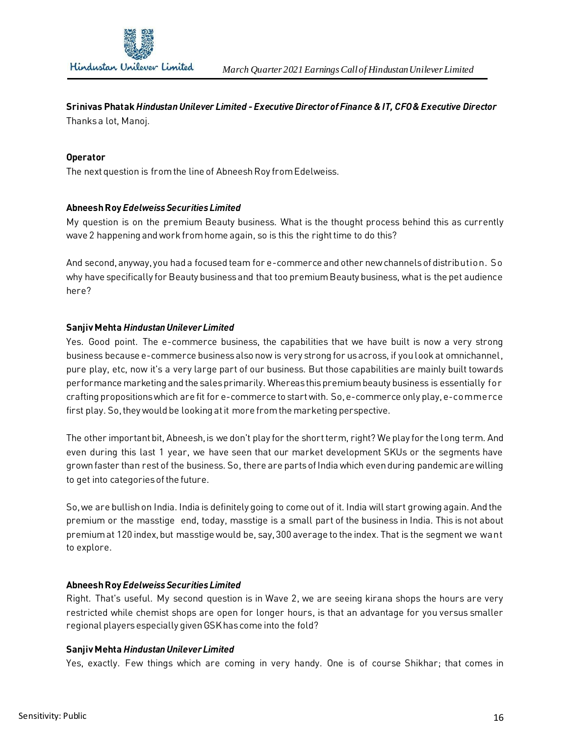

# **Srinivas Phatak** *Hindustan Unilever Limited -Executive Director of Finance & IT, CFO & Executive Director*

Thanks a lot, Manoj.

### **Operator**

The next question is from the line of Abneesh Roy from Edelweiss.

## **Abneesh Roy** *Edelweiss Securities Limited*

My question is on the premium Beauty business. What is the thought process behind this as currently wave 2 happening and work from home again, so is this the right time to do this?

And second, anyway, you had a focused team for e-commerce and other new channels of distribution. So why have specifically for Beauty business and that too premium Beauty business, what is the pet audience here?

## **Sanjiv Mehta** *Hindustan Unilever Limited*

Yes. Good point. The e-commerce business, the capabilities that we have built is now a very strong business because e-commerce business also now is very strong for us across, if you look at omnichannel, pure play, etc, now it's a very large part of our business. But those capabilities are mainly built towards performance marketing and the sales primarily. Whereas this premium beauty business is essentially for crafting propositions which are fit for e-commerce to start with. So,e-commerce only play, e-commerce first play. So, they would be looking at it more from the marketing perspective.

The other important bit, Abneesh, is we don't play for the short term, right? We play for the long term. And even during this last 1 year, we have seen that our market development SKUs or the segments have grown faster than rest of the business. So, there are parts of India which even during pandemic are willing to get into categories of the future.

So,we are bullish on India. India is definitely going to come out of it. India will start growing again. And the premium or the masstige end, today, masstige is a small part of the business in India. This is not about premium at 120 index, but masstige would be, say, 300 average to the index. That is the segment we want to explore.

#### **Abneesh Roy** *Edelweiss Securities Limited*

Right. That's useful. My second question is in Wave 2, we are seeing kirana shops the hours are very restricted while chemist shops are open for longer hours, is that an advantage for you versus smaller regional playersespecially given GSK has come into the fold?

#### **Sanjiv Mehta** *Hindustan Unilever Limited*

Yes, exactly. Few things which are coming in very handy. One is of course Shikhar; that comes in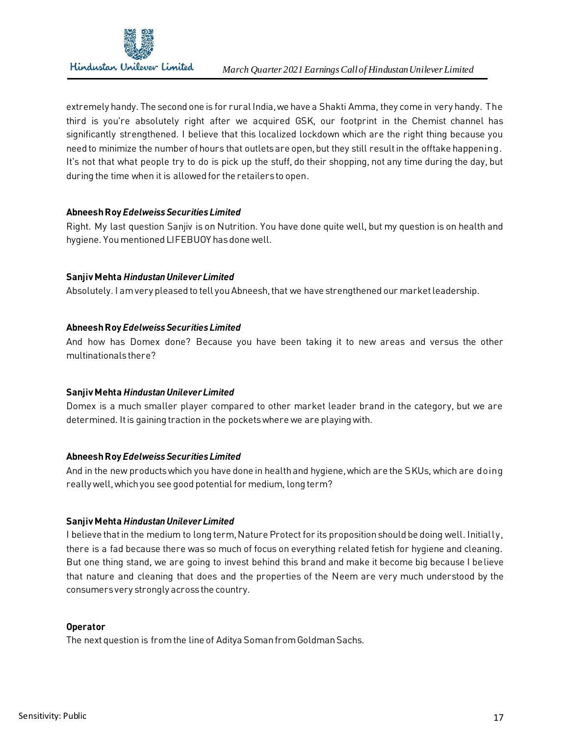

extremely handy. The second one is for rural India, we have a Shakti Amma, they come in very handy. The third is you're absolutely right after we acquired GSK, our footprint in the Chemist channel has significantly strengthened. I believe that this localized lockdown which are the right thing because you need to minimize the number of hours that outlets are open, but they still result in the offtake happening. It's not that what people try to do is pick up the stuff, do their shopping, not any time during the day, but during the time when it is allowed for the retailers to open.

## **Abneesh Roy** *Edelweiss Securities Limited*

Right. My last question Sanjiv is on Nutrition. You have done quite well, but my question is on health and hygiene. You mentioned LIFEBUOY has done well.

#### **Sanjiv Mehta** *Hindustan Unilever Limited*

Absolutely. I am very pleased to tell you Abneesh, that we have strengthened our market leadership.

## **Abneesh Roy** *Edelweiss Securities Limited*

And how has Domex done? Because you have been taking it to new areas and versus the other multinationals there?

#### **Sanjiv Mehta** *Hindustan Unilever Limited*

Domex is a much smaller player compared to other market leader brand in the category, but we are determined. It is gaining traction in the pockets where we are playing with.

#### **Abneesh Roy** *Edelweiss Securities Limited*

And in the new products which you have done in health and hygiene, which are the SKUs, which are doing really well, which you see good potential for medium, long term?

# **Sanjiv Mehta** *Hindustan Unilever Limited*

I believe that in the medium to long term, Nature Protect for its proposition should be doing well. Initially, there is a fad because there was so much of focus on everything related fetish for hygiene and cleaning. But one thing stand, we are going to invest behind this brand and make it become big because I believe that nature and cleaning that does and the properties of the Neem are very much understood by the consumers very strongly across the country.

#### **Operator**

The next question is from the line of Aditya Soman from Goldman Sachs.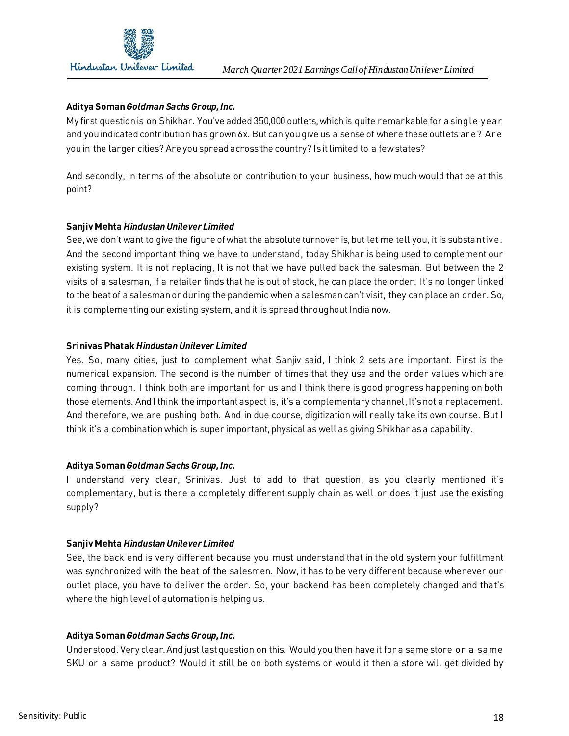

## **Aditya Soman** *Goldman Sachs Group, Inc.*

My first question is on Shikhar. You've added 350,000 outlets, which is quite remarkable for a single year and you indicated contribution has grown 6x. But can you give us a sense of where these outlets are? Are you in the larger cities? Are you spread across the country? Is it limited to a few states?

And secondly, in terms of the absolute or contribution to your business, how much would that be at this point?

## **Sanjiv Mehta** *Hindustan Unilever Limited*

See, we don't want to give the figure of what the absolute turnover is, but let me tell you, it is substantive. And the second important thing we have to understand, today Shikhar is being used to complement our existing system. It is not replacing, It is not that we have pulled back the salesman. But between the 2 visits of a salesman, if a retailer finds that he is out of stock, he can place the order. It's no longer linked to the beat of a salesman or during the pandemic when a salesman can't visit, they can place an order. So, it is complementing our existing system, and it is spread throughout India now.

#### **Srinivas Phatak** *Hindustan Unilever Limited*

Yes. So, many cities, just to complement what Sanjiv said, I think 2 sets are important. First is the numerical expansion. The second is the number of times that they use and the order values which are coming through. I think both are important for us and I think there is good progress happening on both those elements. And I think the important aspect is, it's a complementary channel,It's not a replacement. And therefore, we are pushing both. And in due course, digitization will really take its own course. But I think it's a combination which is super important, physical as well as giving Shikhar as a capability.

#### **Aditya Soman** *Goldman Sachs Group, Inc.*

I understand very clear, Srinivas. Just to add to that question, as you clearly mentioned it's complementary, but is there a completely different supply chain as well or does it just use the existing supply?

# **Sanjiv Mehta** *Hindustan Unilever Limited*

See, the back end is very different because you must understand that in the old system your fulfillment was synchronized with the beat of the salesmen. Now, it has to be very different because whenever our outlet place, you have to deliver the order. So, your backend has been completely changed and that's where the high level of automation is helping us.

# **Aditya Soman** *Goldman Sachs Group, Inc.*

Understood. Very clear. And just last question on this. Would you then have it for a same store or a same SKU or a same product? Would it still be on both systems or would it then a store will get divided by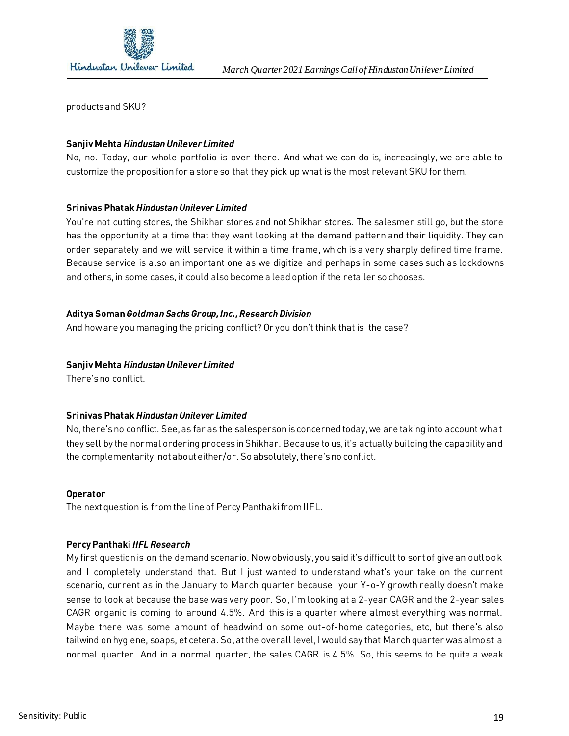

products and SKU?

## **Sanjiv Mehta** *Hindustan Unilever Limited*

No, no. Today, our whole portfolio is over there. And what we can do is, increasingly, we are able to customize the proposition for a store so that they pick up what is the most relevant SKU for them.

## **Srinivas Phatak** *Hindustan Unilever Limited*

You're not cutting stores, the Shikhar stores and not Shikhar stores. The salesmen still go, but the store has the opportunity at a time that they want looking at the demand pattern and their liquidity. They can order separately and we will service it within a time frame, which is a very sharply defined time frame. Because service is also an important one as we digitize and perhaps in some cases such as lockdowns and others, in some cases, it could also become a lead option if the retailer so chooses.

## **Aditya Soman** *Goldman Sachs Group, Inc., Research Division*

And how are you managing the pricing conflict? Or you don't think that is the case?

### **Sanjiv Mehta** *Hindustan Unilever Limited*

There's no conflict.

#### **Srinivas Phatak** *Hindustan Unilever Limited*

No, there's no conflict. See, as far as the salesperson is concerned today, we are taking into account what they sell by the normal ordering process in Shikhar. Because to us, it's actually building the capability and the complementarity, not about either/or. So absolutely, there's no conflict.

#### **Operator**

The next question is from the line of Percy Panthaki from IIFL.

#### **Percy Panthaki** *IIFL Research*

My first question is on the demand scenario. Now obviously, you said it's difficult to sort of give an outlook and I completely understand that. But I just wanted to understand what's your take on the current scenario, current as in the January to March quarter because your Y-o-Y growth really doesn't make sense to look at because the base was very poor. So, I'm looking at a 2-year CAGR and the 2-year sales CAGR organic is coming to around 4.5%. And this is a quarter where almost everything was normal. Maybe there was some amount of headwind on some out-of-home categories, etc, but there's also tailwind on hygiene, soaps, et cetera. So,at the overall level, I would say that March quarter was almost a normal quarter. And in a normal quarter, the sales CAGR is 4.5%. So, this seems to be quite a weak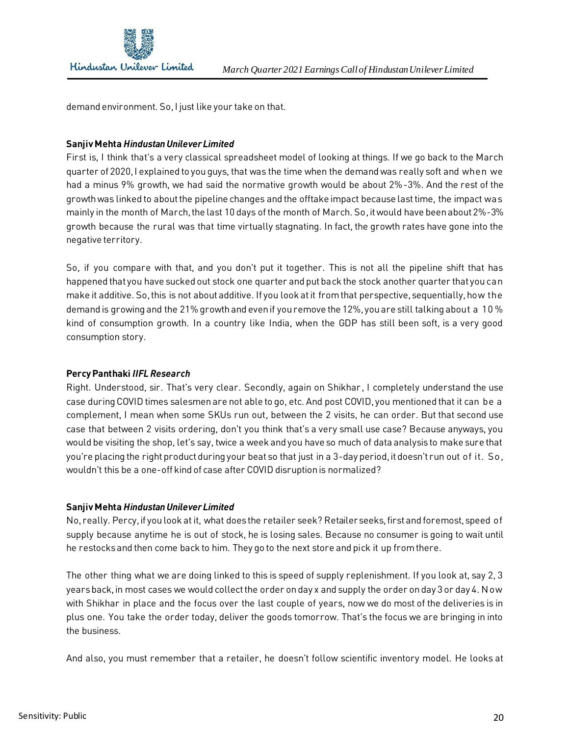

demand environment. So, I just like your take on that.

## **Sanjiv Mehta** *Hindustan Unilever Limited*

First is, I think that's a very classical spreadsheet model of looking at things. If we go back to the March quarter of 2020, I explained to you guys, that was the time when the demand was really soft and when we had a minus 9% growth, we had said the normative growth would be about 2%-3%. And the rest of the growth was linked to about the pipeline changes and the offtake impact because last time, the impact was mainly in the month of March, the last 10 days of the month of March. So,it would have been about 2%-3% growth because the rural was that time virtually stagnating. In fact, the growth rates have gone into the negative territory.

So, if you compare with that, and you don't put it together. This is not all the pipeline shift that has happened that you have sucked out stock one quarter and put back the stock another quarter that you can make it additive. So,this is not about additive. If you look at it from that perspective, sequentially, how the demand is growing and the 21% growth and even if you remove the 12%, you are still talking about a 10 % kind of consumption growth. In a country like India, when the GDP has still been soft, is a very good consumption story.

# **Percy Panthaki** *IIFL Research*

Right. Understood, sir. That's very clear. Secondly, again on Shikhar , I completely understand the use case during COVID times salesmen are not able to go, etc. And post COVID, you mentioned that it can be a complement, I mean when some SKUs run out, between the 2 visits, he can order. But that second use case that between 2 visits ordering, don't you think that's a very small use case? Because anyways, you would be visiting the shop, let's say, twice a week and you have so much of data analysis to make sure that you're placing the right product during your beat so that just in a 3-day period,it doesn't run out of it. So, wouldn't this be a one-off kind of case after COVID disruption is normalized?

#### **Sanjiv Mehta** *Hindustan Unilever Limited*

No, really. Percy, if you look atit, what does the retailer seek? Retailer seeks, first and foremost, speed of supply because anytime he is out of stock, he is losing sales. Because no consumer is going to wait until he restocksand then come back to him. They go to the next store and pick it up from there.

The other thing what we are doing linked to this is speed of supply replenishment. If you look at, say 2, 3 years back, in most cases we would collect the order on day x and supply the order on day 3 or day 4. Now with Shikhar in place and the focus over the last couple of years, now we do most of the deliveries is in plus one. You take the order today, deliver the goods tomorrow. That's the focus we are bringing in into the business.

And also, you must remember that a retailer, he doesn't follow scientific inventory model. He looks at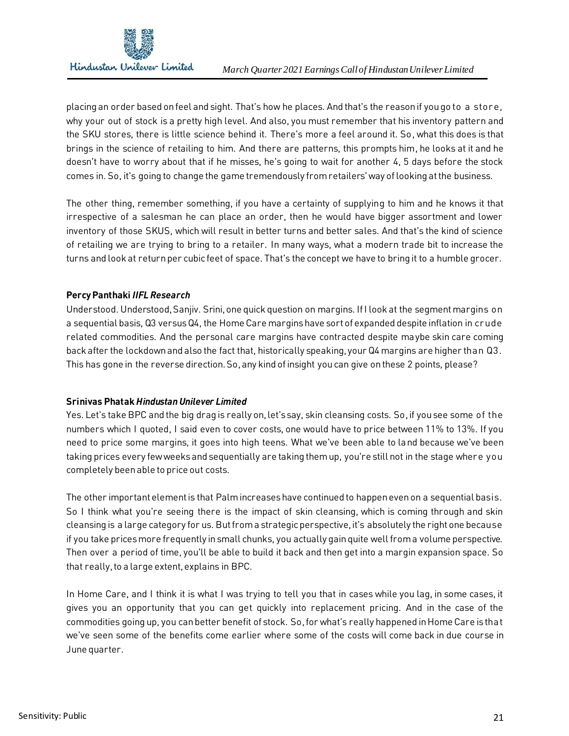

placing an order based on feel and sight. That's how he places. And that's the reason if you go to a store, why your out of stock is a pretty high level. And also, you must remember that his inventory pattern and the SKU stores, there is little science behind it. There's more a feel around it. So, what this does is that brings in the science of retailing to him. And there are patterns, this prompts him, he looks at it and he doesn't have to worry about that if he misses, he's going to wait for another 4, 5 days before the stock comes in. So, it's going to change the game tremendously from retailers' way of looking at the business.

The other thing, remember something, if you have a certainty of supplying to him and he knows it that irrespective of a salesman he can place an order, then he would have bigger assortment and lower inventory of those SKUS, which will result in better turns and better sales. And that's the kind of science of retailing we are trying to bring to a retailer. In many ways, what a modern trade bit to increase the turns and look at return per cubic feet of space. That's the concept we have to bring it to a humble grocer.

# **Percy Panthaki** *IIFL Research*

Understood. Understood, Sanjiv. Srini, one quick question on margins. If I look at the segment margins on a sequential basis, Q3 versus Q4, the Home Care margins have sort of expanded despite inflation in crude related commodities. And the personal care margins have contracted despite maybe skin care coming back after the lockdown and also the fact that, historically speaking, your Q4 margins are higher than Q3. This has gone in the reverse direction. So,any kind of insight you can give on these 2 points, please?

# **Srinivas Phatak** *Hindustan Unilever Limited*

Yes. Let's take BPC and the big drag is really on, let's say, skin cleansing costs. So,if you see some of the numbers which I quoted, I said even to cover costs, one would have to price between 11% to 13%. If you need to price some margins, it goes into high teens. What we've been able to land because we've been taking prices every few weeks and sequentially are taking them up, you're still not in the stage where you completely been able to price out costs.

The other important element is that Palmincreases have continued to happen even on a sequential basis. So I think what you're seeing there is the impact of skin cleansing, which is coming through and skin cleansing is a large category for us. But from a strategic perspective, it's absolutely the right one because if you take prices more frequently in small chunks, you actually gain quite well from a volume perspective. Then over a period of time, you'll be able to build it back and then get into a margin expansion space. So that really, to a large extent, explains in BPC.

In Home Care, and I think it is what I was trying to tell you that in cases while you lag, in some cases, it gives you an opportunity that you can get quickly into replacement pricing. And in the case of the commodities going up, you can better benefit of stock. So,for what's really happened in Home Care is that we've seen some of the benefits come earlier where some of the costs will come back in due course in June quarter.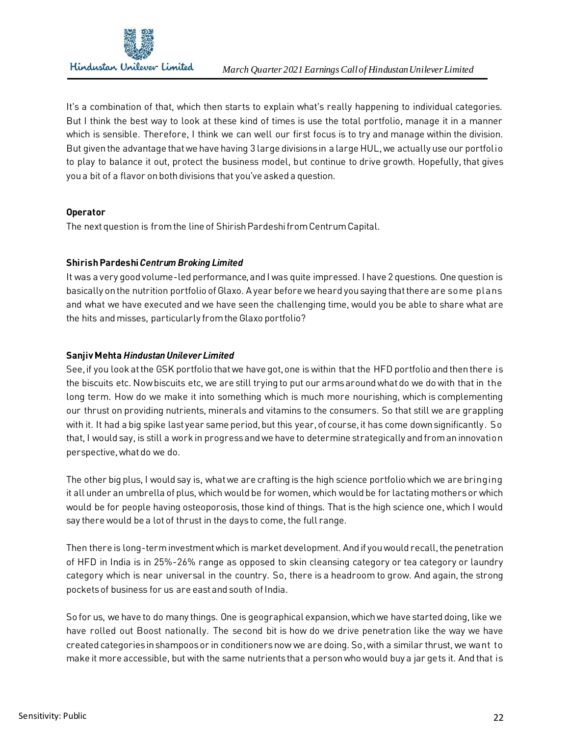

It's a combination of that, which then starts to explain what's really happening to individual categories. But I think the best way to look at these kind of times is use the total portfolio, manage it in a manner which is sensible. Therefore, I think we can well our first focus is to try and manage within the division. But given the advantage that we have having 3 large divisions in a large HUL, we actually use our portfolio to play to balance it out, protect the business model, but continue to drive growth. Hopefully, that gives you a bit of a flavor on both divisions that you've asked a question.

## **Operator**

The next question is from the line of Shirish Pardeshi from Centrum Capital.

## **Shirish Pardeshi** *Centrum Broking Limited*

It was a very good volume-led performance, and I was quite impressed. I have 2 questions. One question is basically on the nutrition portfolio of Glaxo. A year before we heard you saying that there are some plans and what we have executed and we have seen the challenging time, would you be able to share what are the hits and misses, particularly from the Glaxo portfolio?

## **Sanjiv Mehta** *Hindustan Unilever Limited*

See, if you look at the GSK portfolio that we have got, one is within that the HFD portfolio and then there is the biscuits etc. Now biscuits etc, we are still trying to put our arms around what do we do with that in the long term. How do we make it into something which is much more nourishing, which is complementing our thrust on providing nutrients, minerals and vitamins to the consumers. So that still we are grappling with it. It had a big spike last year same period, but this year, of course, it has come down significantly. So that, I would say, is still a work in progress and we have to determine strategically and from an innovation perspective, what do we do.

The other big plus, I would say is, what we are crafting is the high science portfolio which we are bringing it all under an umbrella of plus, which would be for women, which would be for lactating mothers or which would be for people having osteoporosis, those kind of things. That is the high science one, which I would say there would be a lot of thrust in the days to come, the full range.

Then there is long-term investment which is market development. And if you would recall, the penetration of HFD in India is in 25%-26% range as opposed to skin cleansing category or tea category or laundry category which is near universal in the country. So, there is a headroom to grow. And again, the strong pockets of business for us are east and south of India.

So for us, we have to do many things. One is geographical expansion, which we have started doing, like we have rolled out Boost nationally. The second bit is how do we drive penetration like the way we have created categories in shampoos or in conditioners now we are doing. So,with a similar thrust, we want to make it more accessible, but with the same nutrients that a person who would buy a jar gets it. And that is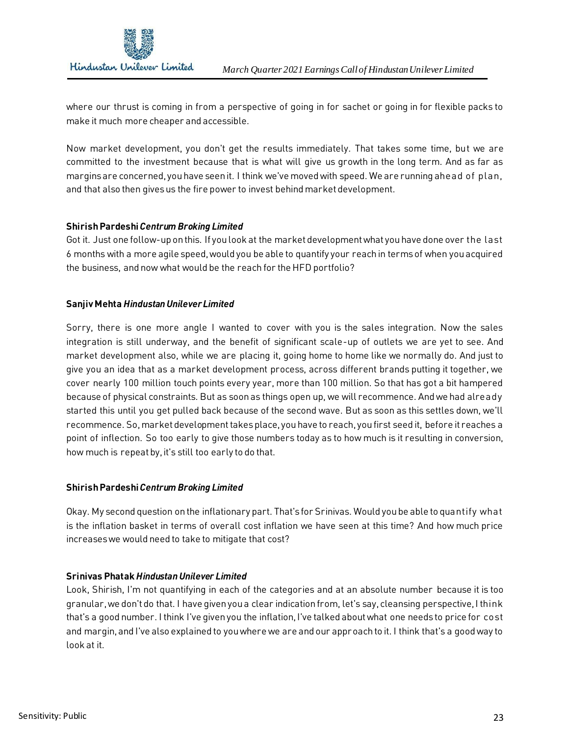

where our thrust is coming in from a perspective of going in for sachet or going in for flexible packs to make it much more cheaper and accessible.

Now market development, you don't get the results immediately. That takes some time, but we are committed to the investment because that is what will give us growth in the long term. And as far as margins are concerned, you have seen it. I think we've moved with speed. We are running ahead of plan, and that also then gives us the fire power to invest behind market development.

# **Shirish Pardeshi** *Centrum Broking Limited*

Got it. Just one follow-up on this. If you look at the market development what you have done over the last 6 months with a more agile speed, would you be able to quantify your reach in terms of when you acquired the business, and now what would be the reach for the HFD portfolio?

# **Sanjiv Mehta** *Hindustan Unilever Limited*

Sorry, there is one more angle I wanted to cover with you is the sales integration. Now the sales integration is still underway, and the benefit of significant scale-up of outlets we are yet to see. And market development also, while we are placing it, going home to home like we normally do. And just to give you an idea that as a market development process, across different brands putting it together, we cover nearly 100 million touch points every year, more than 100 million. So that has got a bit hampered because of physical constraints. But as soon as things open up, we will recommence. And we had already started this until you get pulled back because of the second wave. But as soon as this settles down, we'll recommence. So,market development takes place, you have to reach, you first seed it, before it reaches a point of inflection. So too early to give those numbers today as to how much is it resulting in conversion, how much is repeat by, it's still too early to do that.

# **Shirish Pardeshi** *Centrum Broking Limited*

Okay. My second question on the inflationary part. That's for Srinivas. Would you be able to quantify what is the inflation basket in terms of overall cost inflation we have seen at this time? And how much price increases we would need to take to mitigate that cost?

# **Srinivas Phatak** *Hindustan Unilever Limited*

Look, Shirish, I'm not quantifying in each of the categories and at an absolute number because it is too granular,we don't do that. I have given you a clear indication from, let's say, cleansing perspective, I think that's a good number. I think I've given you the inflation, I've talked about what one needs to price for cost and margin, and I've also explained to you where we are and our approach to it. I think that's a good way to look at it.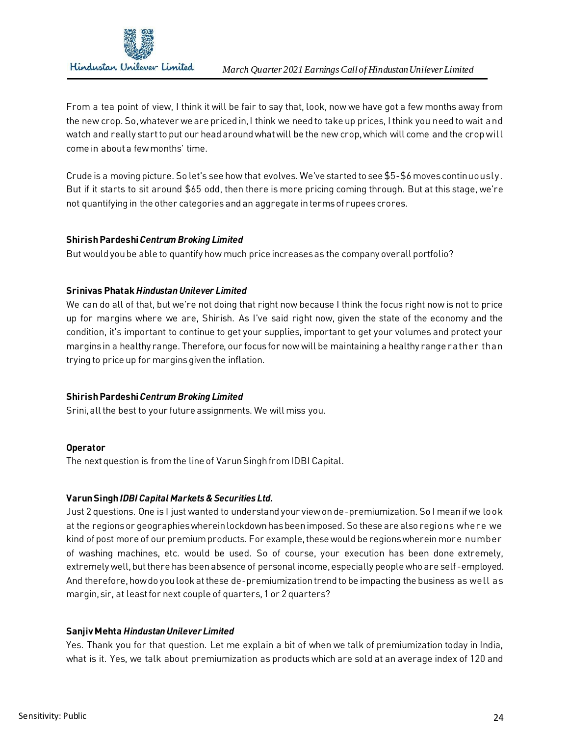

From a tea point of view, I think it will be fair to say that, look, now we have got a few months away from the new crop. So,whatever we are priced in, I think we need to take up prices, I think you need to wait and watch and really start to put our head around what will be the new crop, which will come and the crop will come in about a few months' time.

Crude is a moving picture. So let's see how that evolves. We've started to see \$5-\$6 moves continuously. But if it starts to sit around \$65 odd, then there is more pricing coming through. But at this stage, we're not quantifying in the other categories and an aggregate in terms of rupees crores.

# **Shirish Pardeshi** *Centrum Broking Limited*

But would you be able to quantify how much price increases as the company overall portfolio?

## **Srinivas Phatak** *Hindustan Unilever Limited*

We can do all of that, but we're not doing that right now because I think the focus right now is not to price up for margins where we are, Shirish. As I've said right now, given the state of the economy and the condition, it's important to continue to get your supplies, important to get your volumes and protect your margins in a healthy range. Therefore, our focus for now will be maintaining a healthy range rather than trying to price up for margins given the inflation.

# **Shirish Pardeshi** *Centrum Broking Limited*

Srini, all the best to your future assignments. We will miss you.

#### **Operator**

The next question is from the line of Varun Singh from IDBI Capital.

#### **Varun Singh** *IDBI Capital Markets & Securities Ltd.*

Just 2 questions. One is I just wanted to understand your view on de-premiumization. So I mean if we look at the regions or geographies wherein lockdown has been imposed. So these are also regions where we kind of post more of our premium products. For example, these would be regions wherein more number of washing machines, etc. would be used. So of course, your execution has been done extremely, extremely well, but there has been absence of personal income, especially people who are self-employed. And therefore, how do you look at these de-premiumization trend to be impacting the business as well as margin, sir, at least for next couple of quarters, 1 or 2 quarters?

#### **Sanjiv Mehta** *Hindustan Unilever Limited*

Yes. Thank you for that question. Let me explain a bit of when we talk of premiumization today in India, what is it. Yes, we talk about premiumization as products which are sold at an average index of 120 and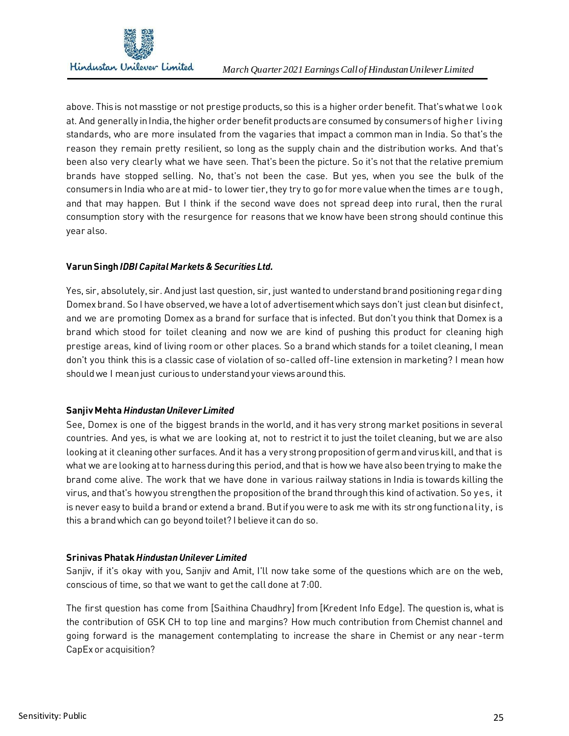

above. This is not masstige or not prestige products, so this is a higher order benefit. That's what we look at. And generally in India, the higher order benefit products are consumed by consumers of higher living standards, who are more insulated from the vagaries that impact a common man in India. So that's the reason they remain pretty resilient, so long as the supply chain and the distribution works. And that's been also very clearly what we have seen. That's been the picture. So it's not that the relative premium brands have stopped selling. No, that's not been the case. But yes, when you see the bulk of the consumers in India who are at mid- to lower tier, they try to go for more value when the times are tough, and that may happen. But I think if the second wave does not spread deep into rural, then the rural consumption story with the resurgence for reasons that we know have been strong should continue this year also.

## **Varun Singh** *IDBI Capital Markets & Securities Ltd.*

Yes, sir, absolutely, sir. And just last question, sir, just wanted to understand brand positioning regarding Domex brand. So I have observed, we have a lot of advertisement which says don't just cleanbut disinfect, and we are promoting Domex as a brand for surface that is infected. But don't you think that Domex is a brand which stood for toilet cleaning and now we are kind of pushing this product for cleaning high prestige areas, kind of living room or other places. So a brand which stands for a toilet cleaning, I mean don't you think this is a classic case of violation of so-called off-line extension in marketing? I mean how should we I mean just curious to understand your views around this.

# **Sanjiv Mehta** *Hindustan Unilever Limited*

See, Domex is one of the biggest brands in the world, and it has very strong market positions in several countries. And yes, is what we are looking at, not to restrict it to just the toilet cleaning, but we are also looking at it cleaning other surfaces. And it has a very strong proposition of germ and virus kill, and that is what we are looking at to harness during this period, and that is how we have also been trying to make the brand come alive. The work that we have done in various railway stations in India is towards killing the virus, and that's how you strengthen the proposition of the brand through this kind of activation. So yes, it is never easy to build a brand or extend a brand. But if you were to ask me with its strong functionality, is this a brand which can go beyond toilet? I believe it can do so.

# **Srinivas Phatak** *Hindustan Unilever Limited*

Sanjiv, if it's okay with you, Sanjiv and Amit, I'll now take some of the questions which are on the web, conscious of time, so that we want to get the call done at 7:00.

The first question has come from [Saithina Chaudhry] from [Kredent Info Edge]. The question is, what is the contribution of GSK CH to top line and margins? How much contribution from Chemist channel and going forward is the management contemplating to increase the share in Chemist or any near -term CapEx or acquisition?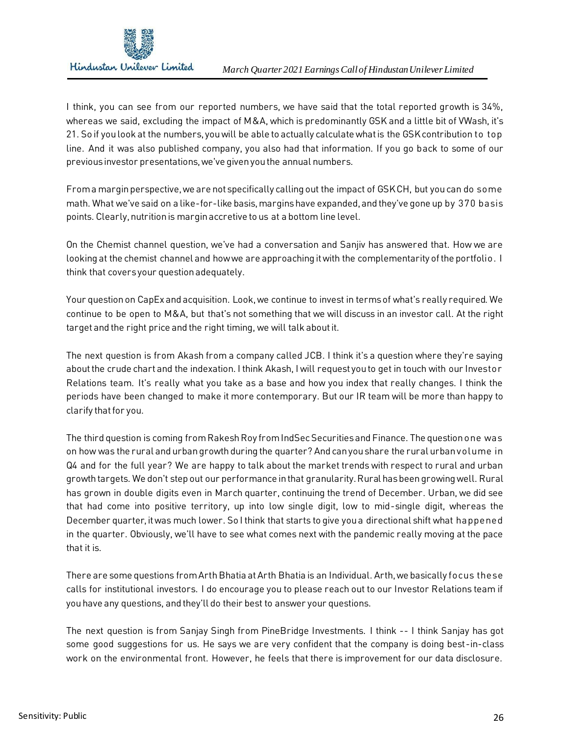

I think, you can see from our reported numbers, we have said that the total reported growth is 34%, whereas we said, excluding the impact of M&A, which is predominantly GSK and a little bit of VWash, it's 21. So if you look at the numbers, you will be able to actually calculate what is the GSK contribution to top line. And it was also published company, you also had that information. If you go back to some of our previous investor presentations, we've given you the annual numbers.

From a margin perspective, we are not specifically calling out the impact of GSK CH, but you can do some math. What we've said on a like-for-like basis, margins have expanded, and they've gone up by 370 basis points. Clearly, nutrition is margin accretive to us at a bottom line level.

On the Chemist channel question, we've had a conversation and Sanjiv has answered that. How we are looking at the chemist channel and how we are approaching it with the complementarity of the portfolio. I think that covers your question adequately.

Your question on CapEx and acquisition. Look, we continue to invest in terms of what's really required. We continue to be open to M&A, but that's not something that we will discuss in an investor call. At the right target and the right price and the right timing, we will talk about it.

The next question is from Akash from a company called JCB. I think it's a question where they're saying about the crude chart and the indexation. I think Akash, I will request you to get in touch with our Investor Relations team. It's really what you take as a base and how you index that really changes. I think the periods have been changed to make it more contemporary. But our IR team will be more than happy to clarify that for you.

The third question is coming from Rakesh Roy from IndSec Securities and Finance. The question one was on how was the rural and urban growth during the quarter? And can you share the rural urban volume in Q4 and for the full year? We are happy to talk about the market trends with respect to rural and urban growth targets. We don't step out our performance in that granularity. Rural has been growing well. Rural has grown in double digits even in March quarter, continuing the trend of December. Urban, we did see that had come into positive territory, up into low single digit, low to mid-single digit, whereas the December quarter, it was much lower. So I think that starts to give you a directional shift what happened in the quarter. Obviously, we'll have to see what comes next with the pandemic really moving at the pace that it is.

There are some questions from Arth Bhatia at Arth Bhatia is an Individual. Arth, we basically focus these calls for institutional investors. I do encourage you to please reach out to our Investor Relations team if you have any questions, and they'll do their best to answer your questions.

The next question is from Sanjay Singh from PineBridge Investments. I think -- I think Sanjay has got some good suggestions for us. He says we are very confident that the company is doing best-in-class work on the environmental front. However, he feels that there is improvement for our data disclosure.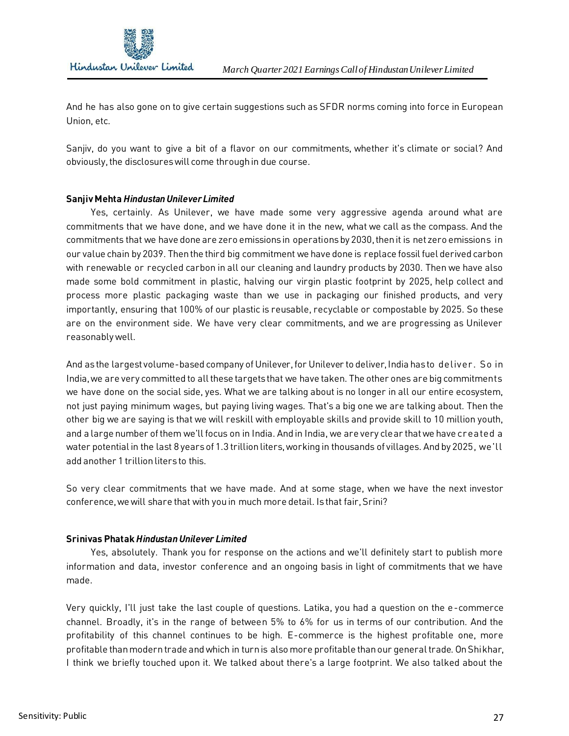

And he has also gone on to give certain suggestions such as SFDR norms coming into force in European Union, etc.

Sanjiv, do you want to give a bit of a flavor on our commitments, whether it's climate or social? And obviously, the disclosures will come through in due course.

#### **Sanjiv Mehta** *Hindustan Unilever Limited*

 Yes, certainly. As Unilever, we have made some very aggressive agenda around what are commitments that we have done, and we have done it in the new, what we call as the compass. And the commitments that we have done are zero emissions in operations by 2030, then it is net zero emissions in our value chain by 2039. Then the third big commitment we have done is replace fossil fuel derived carbon with renewable or recycled carbon in all our cleaning and laundry products by 2030. Then we have also made some bold commitment in plastic, halving our virgin plastic footprint by 2025, help collect and process more plastic packaging waste than we use in packaging our finished products, and very importantly, ensuring that 100% of our plastic is reusable, recyclable or compostable by 2025. So these are on the environment side. We have very clear commitments, and we are progressing as Unilever reasonably well.

And as the largest volume-based company of Unilever, for Unilever to deliver, India has to deliver. So in India, we are very committed to all these targets that we have taken. The other ones are big commitments we have done on the social side, yes. What we are talking about is no longer in all our entire ecosystem, not just paying minimum wages, but paying living wages. That's a big one we are talking about. Then the other big we are saying is that we will reskill with employable skills and provide skill to 10 million youth, and a large number of them we'll focus on in India. And in India, we are very clear that we have created a water potential in the last 8 years of 1.3 trillion liters, working in thousands of villages. And by 2025, we'll add another 1 trillion liters to this.

So very clear commitments that we have made. And at some stage, when we have the next investor conference, we will share that with you in much more detail. Is that fair, Srini?

#### **Srinivas Phatak** *Hindustan Unilever Limited*

 Yes, absolutely. Thank you for response on the actions and we'll definitely start to publish more information and data, investor conference and an ongoing basis in light of commitments that we have made.

Very quickly, I'll just take the last couple of questions. Latika, you had a question on the e-commerce channel. Broadly, it's in the range of between 5% to 6% for us in terms of our contribution. And the profitability of this channel continues to be high. E-commerce is the highest profitable one, more profitable than modern trade and which in turn is also more profitable than our general trade. On Shikhar, I think we briefly touched upon it. We talked about there's a large footprint. We also talked about the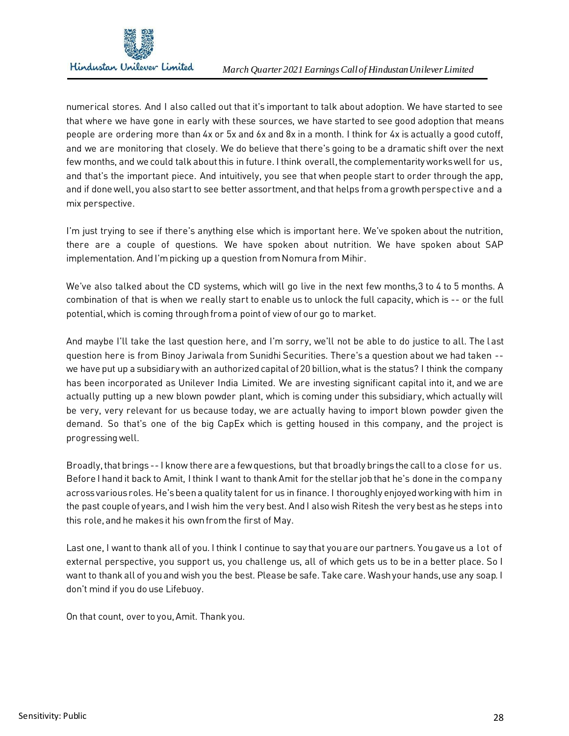

numerical stores. And I also called out that it's important to talk about adoption. We have started to see that where we have gone in early with these sources, we have started to see good adoption that means people are ordering more than 4x or 5x and 6x and 8x in a month. I think for 4x is actually a good cutoff, and we are monitoring that closely. We do believe that there's going to be a dramatic shift over the next few months, and we could talk about this in future. I think overall, the complementarity works well for us, and that's the important piece. And intuitively, you see that when people start to order through the app, and if done well, you also start to see better assortment, and that helps from a growth perspective and a mix perspective.

I'm just trying to see if there's anything else which is important here. We've spoken about the nutrition, there are a couple of questions. We have spoken about nutrition. We have spoken about SAP implementation. And I'm picking up a question from Nomura from Mihir.

We've also talked about the CD systems, which will go live in the next few months,3 to 4 to 5 months. A combination of that is when we really start to enable us to unlock the full capacity, which is -- or the full potential, which is coming through from a point of view of our go to market.

And maybe I'll take the last question here, and I'm sorry, we'll not be able to do justice to all. The last question here is from Binoy Jariwala from Sunidhi Securities. There's a question about we had taken - we have put up a subsidiary with an authorized capital of 20 billion, what is the status? I think the company has been incorporated as Unilever India Limited. We are investing significant capital into it, and we are actually putting up a new blown powder plant, which is coming under this subsidiary, which actually will be very, very relevant for us because today, we are actually having to import blown powder given the demand. So that's one of the big CapEx which is getting housed in this company, and the project is progressing well.

Broadly, that brings -- I know there are a few questions, but that broadly brings the call to a close for us. Before I hand it back to Amit, I think I want to thank Amit for the stellar job that he's done in the company across various roles. He's been a quality talent for us in finance. I thoroughly enjoyed working with him in the past couple of years, and I wish him the very best. And I also wish Ritesh the very best as he steps into this role, and he makes it his own from the first of May.

Last one, I want to thank all of you. I think I continue to say that you are our partners. You gave us a lot of external perspective, you support us, you challenge us, all of which gets us to be in a better place. So I want to thank all of you and wish you the best. Please be safe. Take care. Wash your hands, use any soap. I don't mind if you do use Lifebuoy.

On that count, over to you, Amit. Thank you.